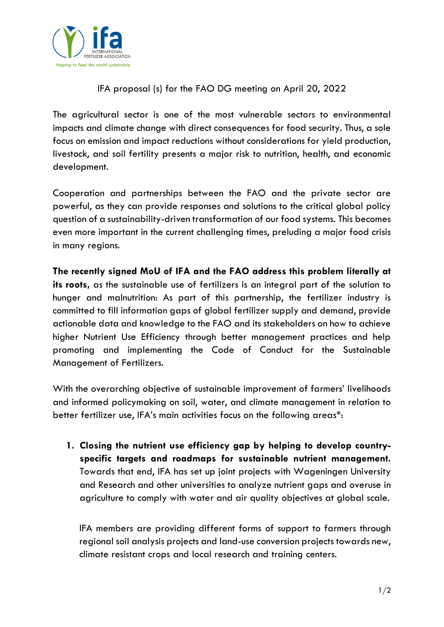

IFA proposal (s) for the FAO DG meeting on April 20, 2022

The agricultural sector is one of the most vulnerable sectors to environmental impacts and climate change with direct consequences for food security. Thus, a sole focus on emission and impact reductions without considerations for yield production, livestock, and soil fertility presents a major risk to nutrition, health, and economic development.

Cooperation and partnerships between the FAO and the private sector are powerful, as they can provide responses and solutions to the critical global policy question of a sustainability-driven transformation of our food systems. This becomes even more important in the current challenging times, preluding a major food crisis in many regions.

**The recently signed MoU of IFA and the FAO address this problem literally at its roots,** as the sustainable use of fertilizers is an integral part of the solution to hunger and malnutrition: As part of this partnership, the fertilizer industry is committed to fill information gaps of global fertilizer supply and demand, provide actionable data and knowledge to the FAO and its stakeholders on how to achieve higher Nutrient Use Efficiency through better management practices and help promoting and implementing the Code of Conduct for the Sustainable Management of Fertilizers.

With the overarching objective of sustainable improvement of farmers' livelihoods and informed policymaking on soil, water, and climate management in relation to better fertilizer use, IFA's main activities focus on the following areas\*:

**1. Closing the nutrient use efficiency gap by helping to develop countryspecific targets and roadmaps for sustainable nutrient management.** Towards that end, IFA has set up joint projects with Wageningen University and Research and other universities to analyze nutrient gaps and overuse in agriculture to comply with water and air quality objectives at global scale.

IFA members are providing different forms of support to farmers through regional soil analysis projects and land-use conversion projects towards new, climate resistant crops and local research and training centers.